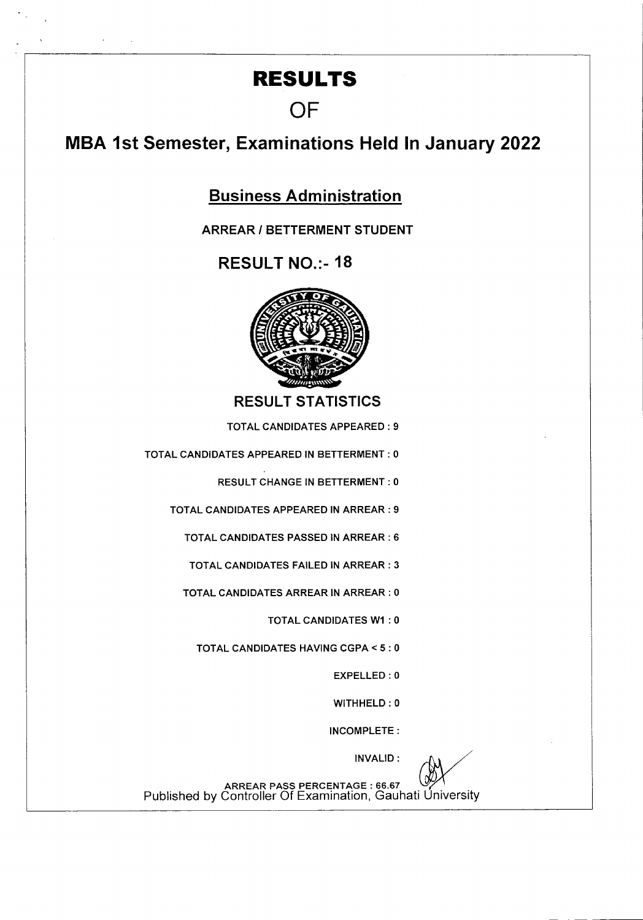## **RESULTS**

**OF** 

## **MBA 1st Semester, Examinations Held In January 2022**

**Business Administration** 

**ARREAR I BETTERMENT STUDENT** 

**RESULT NO.:- 18** 



RESULT STATISTICS

TOTAL CANDIDATES APPEARED: 9

TOTAL CANDIDATES APPEARED IN BETTERMENT: 0

RESULT CHANGE IN BETTERMENT: 0

TOTAL CANDIDATES APPEARED IN ARREAR : 9

TOTAL CANDIDATES PASSED IN ARREAR : 6

TOTAL CANDIDATES FAILED IN ARREAR : 3

TOTAL CANDIDATES ARREAR IN ARREAR : 0

TOTAL CANDIDATES WI : 0

TOTAL CANDIDATES HAVING CGPA <5 : 0

EXPELLED : 0

WITHHELD: 0

INCOMPLETE:

INVALID:

ARREAR PASS PERCENTAGE : 66.67 Published by Controller Of ExamInation, Gauhati University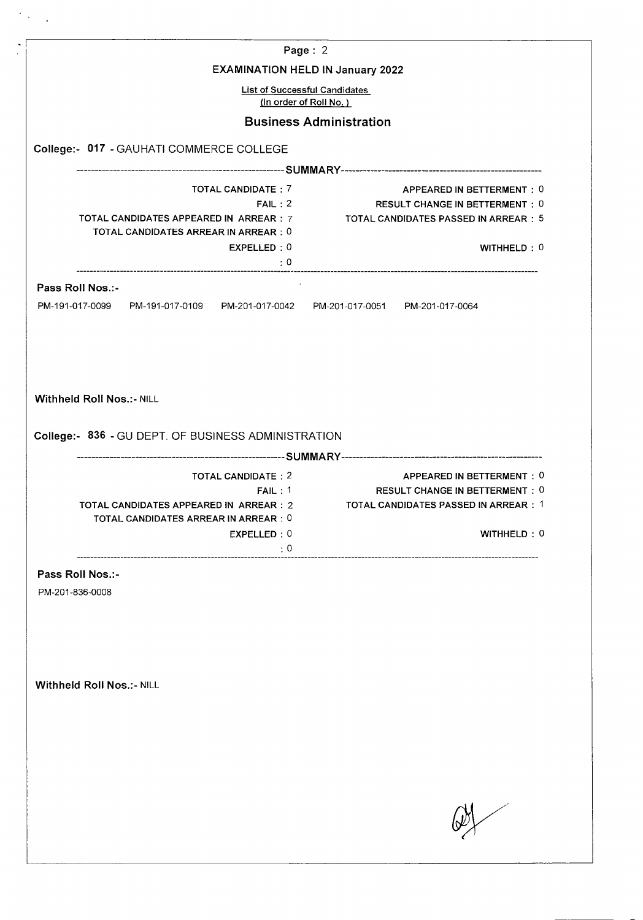| Page: 2<br><b>EXAMINATION HELD IN January 2022</b><br><b>List of Successful Candidates</b><br>(In order of Roll No.)<br><b>Business Administration</b><br>TOTAL CANDIDATE: 7<br>APPEARED IN BETTERMENT: 0<br><b>RESULT CHANGE IN BETTERMENT: 0</b><br>FAIL: 2<br>TOTAL CANDIDATES APPEARED IN ARREAR : 7<br>TOTAL CANDIDATES PASSED IN ARREAR : 5<br>TOTAL CANDIDATES ARREAR IN ARREAR : 0<br>EXPELLED: 0<br>WITHHELD: 0<br>$\cdot \cdot \cdot$ : 0<br>Pass Roll Nos.:-<br>PM-191-017-0099 PM-191-017-0109 PM-201-017-0042 PM-201-017-0051 PM-201-017-0064<br>APPEARED IN BETTERMENT: 0<br>TOTAL CANDIDATE: 2<br>FAIL: 1<br><b>RESULT CHANGE IN BETTERMENT: 0</b><br>TOTAL CANDIDATES PASSED IN ARREAR : 1<br>TOTAL CANDIDATES APPEARED IN ARREAR : 2<br>TOTAL CANDIDATES ARREAR IN ARREAR : 0<br>WITHHELD: 0<br>EXPELLED: 0<br>$\cdot 0$<br>Pass Roll Nos.:-<br>PM-201-836-0008 |  |  |  |  |  |
|----------------------------------------------------------------------------------------------------------------------------------------------------------------------------------------------------------------------------------------------------------------------------------------------------------------------------------------------------------------------------------------------------------------------------------------------------------------------------------------------------------------------------------------------------------------------------------------------------------------------------------------------------------------------------------------------------------------------------------------------------------------------------------------------------------------------------------------------------------------------------------|--|--|--|--|--|
|                                                                                                                                                                                                                                                                                                                                                                                                                                                                                                                                                                                                                                                                                                                                                                                                                                                                                  |  |  |  |  |  |
| College:- 017 - GAUHATI COMMERCE COLLEGE<br>Withheld Roll Nos.:- NILL<br>College:- 836 - GU DEPT. OF BUSINESS ADMINISTRATION<br><b>Withheld Roll Nos.:- NILL</b>                                                                                                                                                                                                                                                                                                                                                                                                                                                                                                                                                                                                                                                                                                                 |  |  |  |  |  |
|                                                                                                                                                                                                                                                                                                                                                                                                                                                                                                                                                                                                                                                                                                                                                                                                                                                                                  |  |  |  |  |  |
|                                                                                                                                                                                                                                                                                                                                                                                                                                                                                                                                                                                                                                                                                                                                                                                                                                                                                  |  |  |  |  |  |
|                                                                                                                                                                                                                                                                                                                                                                                                                                                                                                                                                                                                                                                                                                                                                                                                                                                                                  |  |  |  |  |  |
|                                                                                                                                                                                                                                                                                                                                                                                                                                                                                                                                                                                                                                                                                                                                                                                                                                                                                  |  |  |  |  |  |
|                                                                                                                                                                                                                                                                                                                                                                                                                                                                                                                                                                                                                                                                                                                                                                                                                                                                                  |  |  |  |  |  |
|                                                                                                                                                                                                                                                                                                                                                                                                                                                                                                                                                                                                                                                                                                                                                                                                                                                                                  |  |  |  |  |  |
|                                                                                                                                                                                                                                                                                                                                                                                                                                                                                                                                                                                                                                                                                                                                                                                                                                                                                  |  |  |  |  |  |
|                                                                                                                                                                                                                                                                                                                                                                                                                                                                                                                                                                                                                                                                                                                                                                                                                                                                                  |  |  |  |  |  |
|                                                                                                                                                                                                                                                                                                                                                                                                                                                                                                                                                                                                                                                                                                                                                                                                                                                                                  |  |  |  |  |  |
|                                                                                                                                                                                                                                                                                                                                                                                                                                                                                                                                                                                                                                                                                                                                                                                                                                                                                  |  |  |  |  |  |
|                                                                                                                                                                                                                                                                                                                                                                                                                                                                                                                                                                                                                                                                                                                                                                                                                                                                                  |  |  |  |  |  |
|                                                                                                                                                                                                                                                                                                                                                                                                                                                                                                                                                                                                                                                                                                                                                                                                                                                                                  |  |  |  |  |  |
|                                                                                                                                                                                                                                                                                                                                                                                                                                                                                                                                                                                                                                                                                                                                                                                                                                                                                  |  |  |  |  |  |
|                                                                                                                                                                                                                                                                                                                                                                                                                                                                                                                                                                                                                                                                                                                                                                                                                                                                                  |  |  |  |  |  |
|                                                                                                                                                                                                                                                                                                                                                                                                                                                                                                                                                                                                                                                                                                                                                                                                                                                                                  |  |  |  |  |  |
|                                                                                                                                                                                                                                                                                                                                                                                                                                                                                                                                                                                                                                                                                                                                                                                                                                                                                  |  |  |  |  |  |
|                                                                                                                                                                                                                                                                                                                                                                                                                                                                                                                                                                                                                                                                                                                                                                                                                                                                                  |  |  |  |  |  |
|                                                                                                                                                                                                                                                                                                                                                                                                                                                                                                                                                                                                                                                                                                                                                                                                                                                                                  |  |  |  |  |  |
|                                                                                                                                                                                                                                                                                                                                                                                                                                                                                                                                                                                                                                                                                                                                                                                                                                                                                  |  |  |  |  |  |
|                                                                                                                                                                                                                                                                                                                                                                                                                                                                                                                                                                                                                                                                                                                                                                                                                                                                                  |  |  |  |  |  |
|                                                                                                                                                                                                                                                                                                                                                                                                                                                                                                                                                                                                                                                                                                                                                                                                                                                                                  |  |  |  |  |  |
|                                                                                                                                                                                                                                                                                                                                                                                                                                                                                                                                                                                                                                                                                                                                                                                                                                                                                  |  |  |  |  |  |
|                                                                                                                                                                                                                                                                                                                                                                                                                                                                                                                                                                                                                                                                                                                                                                                                                                                                                  |  |  |  |  |  |
|                                                                                                                                                                                                                                                                                                                                                                                                                                                                                                                                                                                                                                                                                                                                                                                                                                                                                  |  |  |  |  |  |
|                                                                                                                                                                                                                                                                                                                                                                                                                                                                                                                                                                                                                                                                                                                                                                                                                                                                                  |  |  |  |  |  |
|                                                                                                                                                                                                                                                                                                                                                                                                                                                                                                                                                                                                                                                                                                                                                                                                                                                                                  |  |  |  |  |  |
|                                                                                                                                                                                                                                                                                                                                                                                                                                                                                                                                                                                                                                                                                                                                                                                                                                                                                  |  |  |  |  |  |
|                                                                                                                                                                                                                                                                                                                                                                                                                                                                                                                                                                                                                                                                                                                                                                                                                                                                                  |  |  |  |  |  |
|                                                                                                                                                                                                                                                                                                                                                                                                                                                                                                                                                                                                                                                                                                                                                                                                                                                                                  |  |  |  |  |  |
|                                                                                                                                                                                                                                                                                                                                                                                                                                                                                                                                                                                                                                                                                                                                                                                                                                                                                  |  |  |  |  |  |
|                                                                                                                                                                                                                                                                                                                                                                                                                                                                                                                                                                                                                                                                                                                                                                                                                                                                                  |  |  |  |  |  |
|                                                                                                                                                                                                                                                                                                                                                                                                                                                                                                                                                                                                                                                                                                                                                                                                                                                                                  |  |  |  |  |  |
|                                                                                                                                                                                                                                                                                                                                                                                                                                                                                                                                                                                                                                                                                                                                                                                                                                                                                  |  |  |  |  |  |
|                                                                                                                                                                                                                                                                                                                                                                                                                                                                                                                                                                                                                                                                                                                                                                                                                                                                                  |  |  |  |  |  |
|                                                                                                                                                                                                                                                                                                                                                                                                                                                                                                                                                                                                                                                                                                                                                                                                                                                                                  |  |  |  |  |  |
|                                                                                                                                                                                                                                                                                                                                                                                                                                                                                                                                                                                                                                                                                                                                                                                                                                                                                  |  |  |  |  |  |